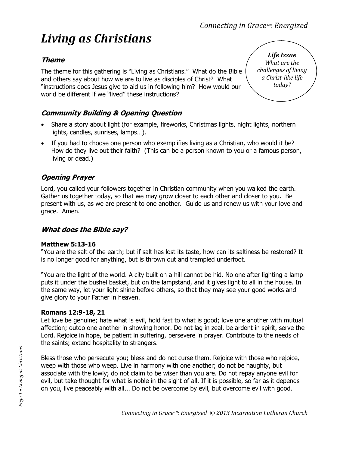# *Living as Christians*

## **Theme**

The theme for this gathering is "Living as Christians." What do the Bible and others say about how we are to live as disciples of Christ? What "instructions does Jesus give to aid us in following him? How would our world be different if we "lived" these instructions?

## **Community Building & Opening Question**

- Share a story about light (for example, fireworks, Christmas lights, night lights, northern lights, candles, sunrises, lamps…).
- If you had to choose one person who exemplifies living as a Christian, who would it be? How do they live out their faith? (This can be a person known to you or a famous person, living or dead.)

## **Opening Prayer**

Lord, you called your followers together in Christian community when you walked the earth. Gather us together today, so that we may grow closer to each other and closer to you. Be present with us, as we are present to one another. Guide us and renew us with your love and grace. Amen.

#### **What does the Bible say?**

#### **Matthew 5:13-16**

"You are the salt of the earth; but if salt has lost its taste, how can its saltiness be restored? It is no longer good for anything, but is thrown out and trampled underfoot.

"You are the light of the world. A city built on a hill cannot be hid. No one after lighting a lamp puts it under the bushel basket, but on the lampstand, and it gives light to all in the house. In the same way, let your light shine before others, so that they may see your good works and give glory to your Father in heaven.

#### **Romans 12:9-18, 21**

Let love be genuine; hate what is evil, hold fast to what is good; love one another with mutual affection; outdo one another in showing honor. Do not lag in zeal, be ardent in spirit, serve the Lord. Rejoice in hope, be patient in suffering, persevere in prayer. Contribute to the needs of the saints; extend hospitality to strangers.

Bless those who persecute you; bless and do not curse them. Rejoice with those who rejoice, weep with those who weep. Live in harmony with one another; do not be haughty, but associate with the lowly; do not claim to be wiser than you are. Do not repay anyone evil for evil, but take thought for what is noble in the sight of all. If it is possible, so far as it depends on you, live peaceably with all... Do not be overcome by evil, but overcome evil with good.

*Life Issue What are the challenges of living a Christ-like life today?*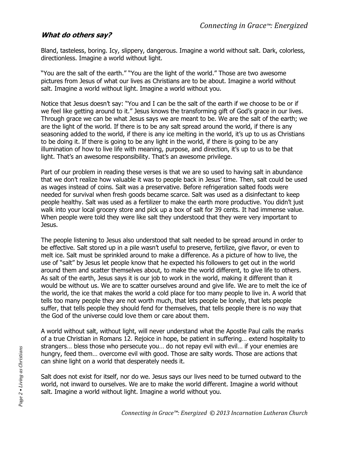#### **What do others say?**

Bland, tasteless, boring. Icy, slippery, dangerous. Imagine a world without salt. Dark, colorless, directionless. Imagine a world without light.

"You are the salt of the earth." "You are the light of the world." Those are two awesome pictures from Jesus of what our lives as Christians are to be about. Imagine a world without salt. Imagine a world without light. Imagine a world without you.

Notice that Jesus doesn't say: "You and I can be the salt of the earth if we choose to be or if we feel like getting around to it." Jesus knows the transforming gift of God's grace in our lives. Through grace we can be what Jesus says we are meant to be. We are the salt of the earth; we are the light of the world. If there is to be any salt spread around the world, if there is any seasoning added to the world, if there is any ice melting in the world, it's up to us as Christians to be doing it. If there is going to be any light in the world, if there is going to be any illumination of how to live life with meaning, purpose, and direction, it's up to us to be that light. That's an awesome responsibility. That's an awesome privilege.

Part of our problem in reading these verses is that we are so used to having salt in abundance that we don't realize how valuable it was to people back in Jesus' time. Then, salt could be used as wages instead of coins. Salt was a preservative. Before refrigeration salted foods were needed for survival when fresh goods became scarce. Salt was used as a disinfectant to keep people healthy. Salt was used as a fertilizer to make the earth more productive. You didn't just walk into your local grocery store and pick up a box of salt for 39 cents. It had immense value. When people were told they were like salt they understood that they were very important to Jesus.

The people listening to Jesus also understood that salt needed to be spread around in order to be effective. Salt stored up in a pile wasn't useful to preserve, fertilize, give flavor, or even to melt ice. Salt must be sprinkled around to make a difference. As a picture of how to live, the use of "salt" by Jesus let people know that he expected his followers to get out in the world around them and scatter themselves about, to make the world different, to give life to others. As salt of the earth, Jesus says it is our job to work in the world, making it different than it would be without us. We are to scatter ourselves around and give life. We are to melt the ice of the world, the ice that makes the world a cold place for too many people to live in. A world that tells too many people they are not worth much, that lets people be lonely, that lets people suffer, that tells people they should fend for themselves, that tells people there is no way that the God of the universe could love them or care about them.

A world without salt, without light, will never understand what the Apostle Paul calls the marks of a true Christian in Romans 12. Rejoice in hope, be patient in suffering… extend hospitality to strangers… bless those who persecute you… do not repay evil with evil… if your enemies are hungry, feed them… overcome evil with good. Those are salty words. Those are actions that can shine light on a world that desperately needs it.

Salt does not exist for itself, nor do we. Jesus says our lives need to be turned outward to the world, not inward to ourselves. We are to make the world different. Imagine a world without salt. Imagine a world without light. Imagine a world without you.